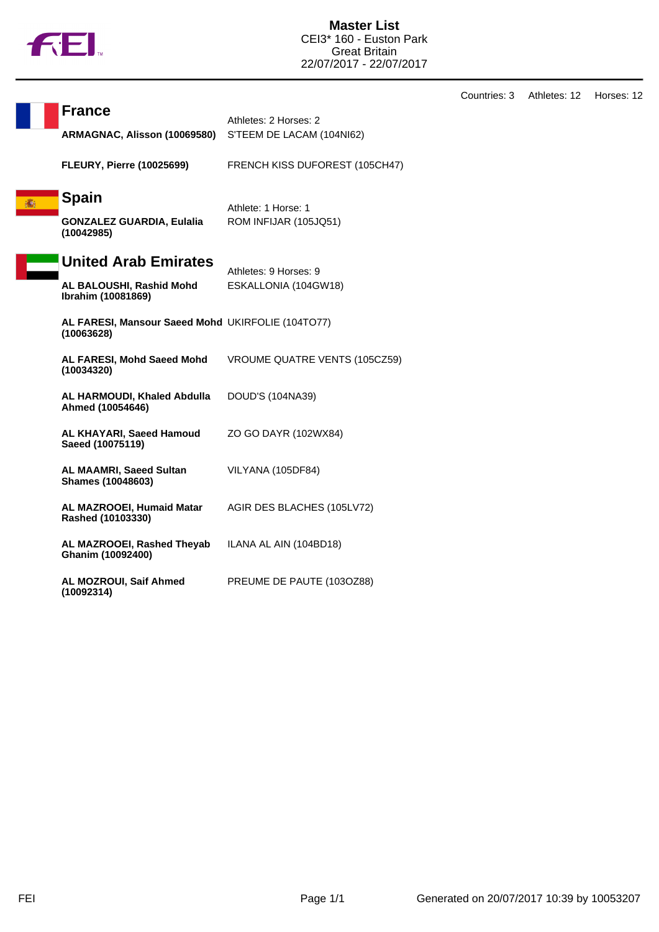

**Master List** CEI3\* 160 - Euston Park Great Britain 22/07/2017 - 22/07/2017

Countries: 3 Athletes: 12 Horses: 12

|   | <b>France</b>                                                   | Athletes: 2 Horses: 2          |  |
|---|-----------------------------------------------------------------|--------------------------------|--|
|   | ARMAGNAC, Alisson (10069580)                                    | S'TEEM DE LACAM (104NI62)      |  |
|   | <b>FLEURY, Pierre (10025699)</b>                                | FRENCH KISS DUFOREST (105CH47) |  |
| 瀛 | <b>Spain</b>                                                    | Athlete: 1 Horse: 1            |  |
|   | <b>GONZALEZ GUARDIA, Eulalia</b><br>(10042985)                  | ROM INFIJAR (105JQ51)          |  |
|   | <b>United Arab Emirates</b>                                     | Athletes: 9 Horses: 9          |  |
|   | AL BALOUSHI, Rashid Mohd<br>Ibrahim (10081869)                  | ESKALLONIA (104GW18)           |  |
|   | AL FARESI, Mansour Saeed Mohd UKIRFOLIE (104TO77)<br>(10063628) |                                |  |
|   | AL FARESI, Mohd Saeed Mohd<br>(10034320)                        | VROUME QUATRE VENTS (105CZ59)  |  |
|   | AL HARMOUDI, Khaled Abdulla<br>Ahmed (10054646)                 | DOUD'S (104NA39)               |  |
|   | AL KHAYARI, Saeed Hamoud<br>Saeed (10075119)                    | ZO GO DAYR (102WX84)           |  |
|   | <b>AL MAAMRI, Saeed Sultan</b><br><b>Shames (10048603)</b>      | VILYANA (105DF84)              |  |
|   | AL MAZROOEI, Humaid Matar<br>Rashed (10103330)                  | AGIR DES BLACHES (105LV72)     |  |
|   | AL MAZROOEI, Rashed Theyab<br>Ghanim (10092400)                 | ILANA AL AIN (104BD18)         |  |
|   | AL MOZROUI, Saif Ahmed<br>(10092314)                            | PREUME DE PAUTE (1030Z88)      |  |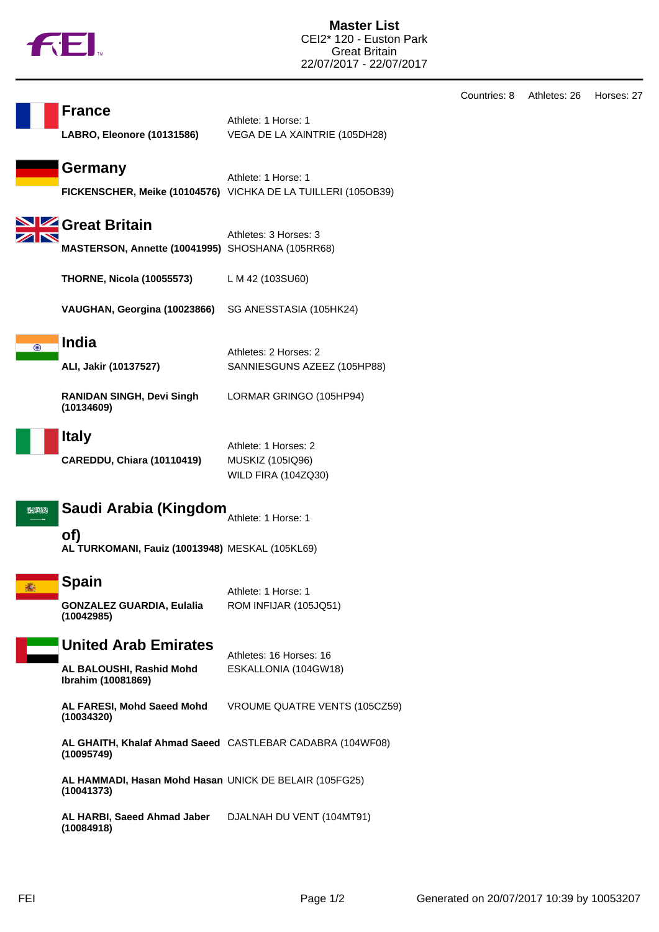

|                                                        | <b>France</b><br>LABRO, Eleonore (10131586)                                   | Athlete: 1 Horse: 1<br>VEGA DE LA XAINTRIE (105DH28)                                 |
|--------------------------------------------------------|-------------------------------------------------------------------------------|--------------------------------------------------------------------------------------|
|                                                        | Germany                                                                       | Athlete: 1 Horse: 1<br>FICKENSCHER, Meike (10104576) VICHKA DE LA TUILLERI (105OB39) |
|                                                        | Great Britain<br>MASTERSON, Annette (10041995) SHOSHANA (105RR68)             | Athletes: 3 Horses: 3                                                                |
|                                                        | <b>THORNE, Nicola (10055573)</b>                                              | L M 42 (103SU60)                                                                     |
|                                                        | VAUGHAN, Georgina (10023866)                                                  | SG ANESSTASIA (105HK24)                                                              |
| $_{\odot}$                                             | <b>India</b><br>ALI, Jakir (10137527)                                         | Athletes: 2 Horses: 2<br>SANNIESGUNS AZEEZ (105HP88)                                 |
|                                                        | <b>RANIDAN SINGH, Devi Singh</b><br>(10134609)                                | LORMAR GRINGO (105HP94)                                                              |
|                                                        | <b>Italy</b><br>CAREDDU, Chiara (10110419)                                    | Athlete: 1 Horses: 2<br>MUSKIZ (105IQ96)<br><b>WILD FIRA (104ZQ30)</b>               |
| Saudi Arabia (Kingdom<br>522114<br>Athlete: 1 Horse: 1 |                                                                               |                                                                                      |
|                                                        | of)<br>AL TURKOMANI, Fauiz (10013948) MESKAL (105KL69)                        |                                                                                      |
| 攟                                                      | Spain<br><b>GONZALEZ GUARDIA, Eulalia</b><br>(10042985)                       | Athlete: 1 Horse: 1<br>ROM INFIJAR (105JQ51)                                         |
|                                                        | <b>United Arab Emirates</b><br>AL BALOUSHI, Rashid Mohd<br>Ibrahim (10081869) | Athletes: 16 Horses: 16<br>ESKALLONIA (104GW18)                                      |
|                                                        | AL FARESI, Mohd Saeed Mohd<br>(10034320)                                      | VROUME QUATRE VENTS (105CZ59)                                                        |
|                                                        | (10095749)                                                                    | AL GHAITH, Khalaf Ahmad Saeed CASTLEBAR CADABRA (104WF08)                            |
|                                                        | AL HAMMADI, Hasan Mohd Hasan UNICK DE BELAIR (105FG25)<br>(10041373)          |                                                                                      |
|                                                        | AL HARBI, Saeed Ahmad Jaber DJALNAH DU VENT (104MT91)<br>(10084918)           |                                                                                      |

Countries: 8 Athletes: 26 Horses: 27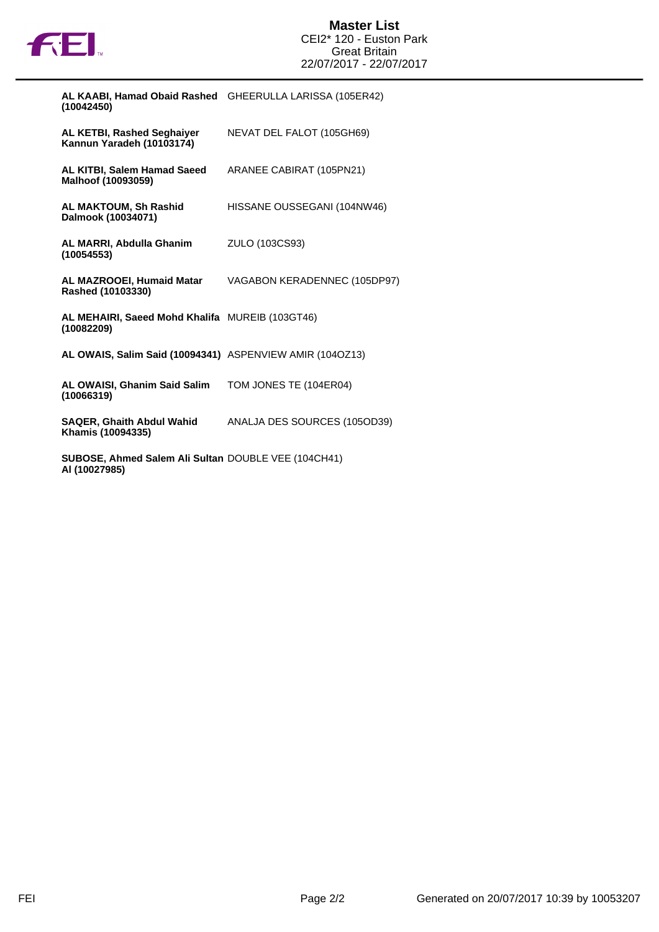

| AL KAABI, Hamad Obaid Rashed GHEERULLA LARISSA (105ER42)<br>(10042450)                       |                              |
|----------------------------------------------------------------------------------------------|------------------------------|
| <b>AL KETBI, Rashed Seghaiver</b><br>Kannun Yaradeh (10103174)                               | NEVAT DEL FALOT (105GH69)    |
| AL KITBI, Salem Hamad Saeed<br>Malhoof (10093059)                                            | ARANEE CABIRAT (105PN21)     |
| <b>AL MAKTOUM, Sh Rashid</b><br>Dalmook (10034071)                                           | HISSANE OUSSEGANI (104NW46)  |
| AL MARRI, Abdulla Ghanim<br>(10054553)                                                       | ZULO (103CS93)               |
| AL MAZROOEI, Humaid Matar<br>Rashed (10103330)                                               | VAGABON KERADENNEC (105DP97) |
| AL MEHAIRI, Saeed Mohd Khalifa MUREIB (103GT46)<br>(10082209)                                |                              |
| AL OWAIS, Salim Said (10094341) ASPENVIEW AMIR (1040Z13)                                     |                              |
| AL OWAISI, Ghanim Said Salim<br>(10066319)                                                   | TOM JONES TE (104ER04)       |
| <b>SAQER, Ghaith Abdul Wahid</b><br>Khamis (10094335)                                        | ANALJA DES SOURCES (105OD39) |
| $AIBAOP$ Above $A.21$ and $A.11$ $A.11$ and $A.11$ $B.11$ $C.11$ $D.11$ $D.11$ $D.11$ $D.11$ |                              |

**SUBOSE, Ahmed Salem Ali Sultan Al (10027985)** DOUBLE VEE (104CH41)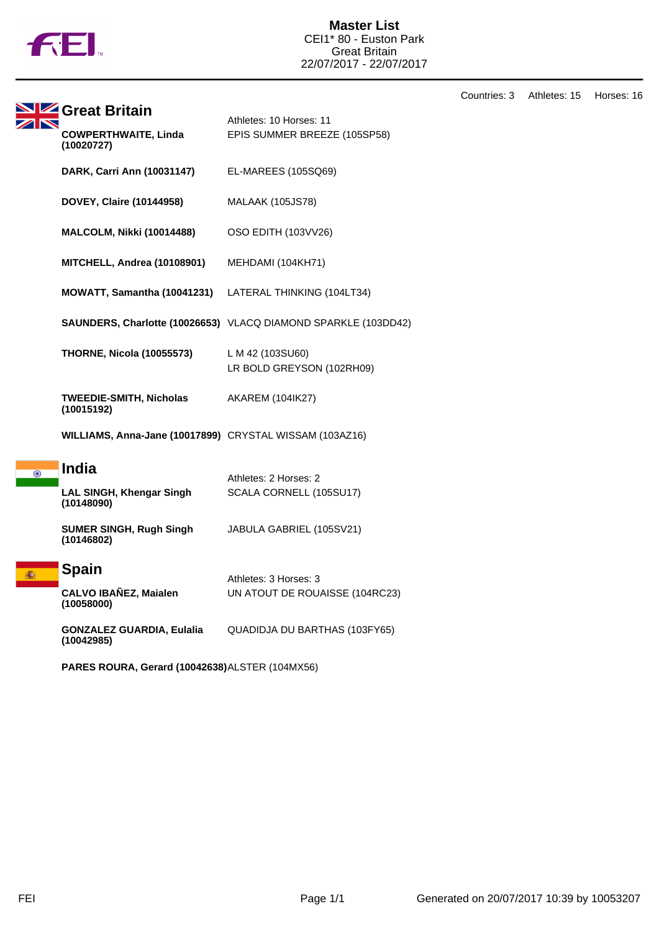

**Master List** CEI1\* 80 - Euston Park Great Britain 22/07/2017 - 22/07/2017

**Great Britain** Athletes: 10 Horses: 11 11 **COWPERTHWAITE, Linda** EPIS SUMMER BREEZE (105SP58) **(10020727) DARK, Carri Ann (10031147)** EL-MAREES (105SQ69) **DOVEY, Claire (10144958)** MALAAK (105JS78) **MALCOLM, Nikki (10014488)** OSO EDITH (103VV26) **MITCHELL, Andrea (10108901)** MEHDAMI (104KH71) **MOWATT, Samantha (10041231)** LATERAL THINKING (104LT34) **SAUNDERS, Charlotte (10026653)** VLACQ DIAMOND SPARKLE (103DD42) **THORNE, Nicola (10055573)** L M 42 (103SU60) LR BOLD GREYSON (102RH09) **TWEEDIE-SMITH, Nicholas** AKAREM (104IK27) **(10015192) WILLIAMS, Anna-Jane (10017899)** CRYSTAL WISSAM (103AZ16) **India**  $\overline{\odot}$ Athletes: 2 Horses: 2 **LAL SINGH, Khengar Singh** SCALA CORNELL (105SU17) **(10148090) SUMER SINGH, Rugh Singh** JABULA GABRIEL (105SV21) **(10146802) Spain** Athletes: 3 Horses: 3 **CALVO IBAÑEZ, Maialen** UN ATOUT DE ROUAISSE (104RC23) **(10058000) GONZALEZ GUARDIA, Eulalia** QUADIDJA DU BARTHAS (103FY65) **(10042985)**

**PARES ROURA, Gerard (10042638)**ALSTER (104MX56)

Countries: 3 Athletes: 15 Horses: 16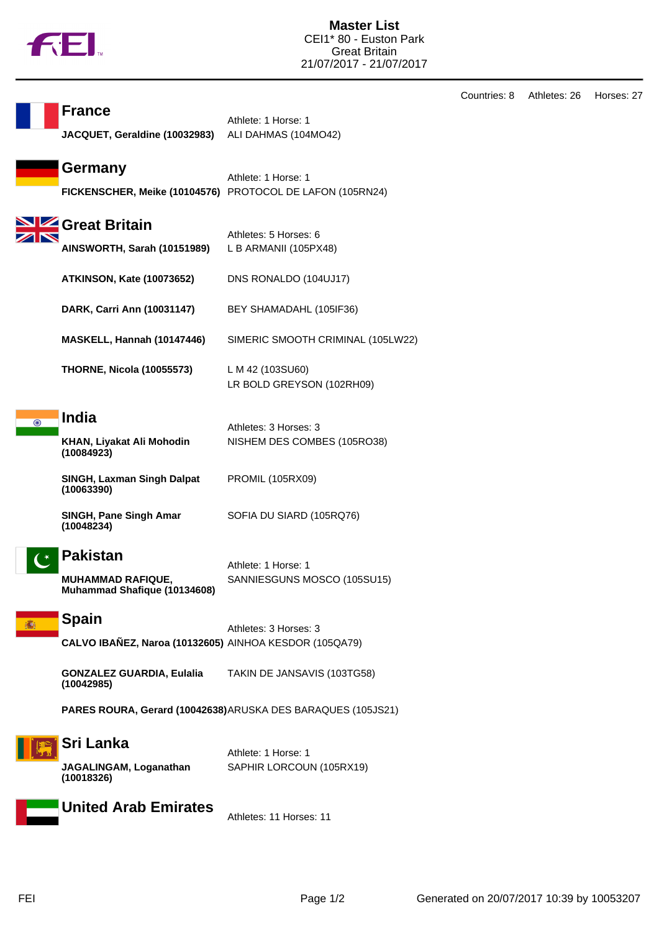

| Countries: 8 | Athletes: 26 | Horses: 27 |
|--------------|--------------|------------|
|--------------|--------------|------------|

|         | <b>France</b><br>JACQUET, Geraldine (10032983)                              | Athlete: 1 Horse: 1<br>ALI DAHMAS (104MO42)                                      |
|---------|-----------------------------------------------------------------------------|----------------------------------------------------------------------------------|
|         | Germany                                                                     | Athlete: 1 Horse: 1<br>FICKENSCHER, Meike (10104576) PROTOCOL DE LAFON (105RN24) |
|         | Great Britain<br>AINSWORTH, Sarah (10151989)                                | Athletes: 5 Horses: 6<br>L B ARMANII (105PX48)                                   |
|         | <b>ATKINSON, Kate (10073652)</b>                                            | DNS RONALDO (104UJ17)                                                            |
|         | DARK, Carri Ann (10031147)                                                  | BEY SHAMADAHL (105IF36)                                                          |
|         | MASKELL, Hannah (10147446)                                                  | SIMERIC SMOOTH CRIMINAL (105LW22)                                                |
|         | <b>THORNE, Nicola (10055573)</b>                                            | L M 42 (103SU60)<br>LR BOLD GREYSON (102RH09)                                    |
| $\odot$ | <b>India</b><br>KHAN, Liyakat Ali Mohodin<br>(10084923)                     | Athletes: 3 Horses: 3<br>NISHEM DES COMBES (105RO38)                             |
|         | <b>SINGH, Laxman Singh Dalpat</b><br>(10063390)                             | <b>PROMIL (105RX09)</b>                                                          |
|         | SINGH, Pane Singh Amar<br>(10048234)                                        | SOFIA DU SIARD (105RQ76)                                                         |
|         | <b>Pakistan</b><br><b>MUHAMMAD RAFIQUE,</b><br>Muhammad Shafique (10134608) | Athlete: 1 Horse: 1<br>SANNIESGUNS MOSCO (105SU15)                               |
|         | <b>Spain</b><br>CALVO IBAÑEZ, Naroa (10132605) AINHOA KESDOR (105QA79)      | Athletes: 3 Horses: 3                                                            |
|         | <b>GONZALEZ GUARDIA, Eulalia</b><br>(10042985)                              | TAKIN DE JANSAVIS (103TG58)                                                      |
|         |                                                                             | PARES ROURA, Gerard (10042638) ARUSKA DES BARAQUES (105JS21)                     |
|         | Sri Lanka<br>JAGALINGAM, Loganathan                                         | Athlete: 1 Horse: 1<br>SAPHIR LORCOUN (105RX19)                                  |
|         | (10018326)                                                                  |                                                                                  |



Athletes: 11 Horses: 11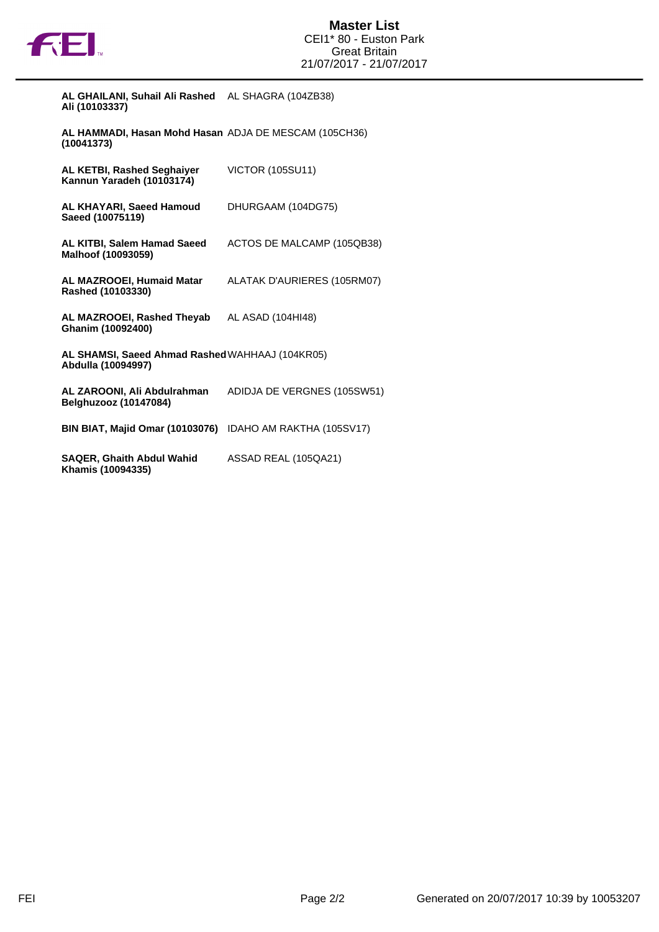

| AL GHAILANI, Suhail Ali Rashed | AL SHAGRA (104ZB38) |
|--------------------------------|---------------------|
| Ali (10103337)                 |                     |

**AL HAMMADI, Hasan Mohd Hasan (10041373)** ADJA DE MESCAM (105CH36)

| AL KETBI, Rashed Seghaiyer<br>Kannun Yaradeh (10103174)               | <b>VICTOR (105SU11)</b>     |
|-----------------------------------------------------------------------|-----------------------------|
| AL KHAYARI, Saeed Hamoud<br>Saeed (10075119)                          | DHURGAAM (104DG75)          |
| AL KITBI, Salem Hamad Saeed<br>Malhoof (10093059)                     | ACTOS DE MALCAMP (105QB38)  |
| AL MAZROOEI, Humaid Matar<br>Rashed (10103330)                        | ALATAK D'AURIERES (105RM07) |
| AL MAZROOEI, Rashed Theyab<br>Ghanim (10092400)                       | AL ASAD (104HI48)           |
| AL SHAMSI, Saeed Ahmad Rashed WAHHAAJ (104KR05)<br>Abdulla (10094997) |                             |
| AL ZAROONI, Ali Abdulrahman<br>Belghuzooz (10147084)                  | ADIDJA DE VERGNES (105SW51) |
| <b>BIN BIAT, Majid Omar (10103076)</b>                                | IDAHO AM RAKTHA (105SV17)   |
| <b>SAQER, Ghaith Abdul Wahid</b><br>Khamis (10094335)                 | ASSAD REAL (105QA21)        |